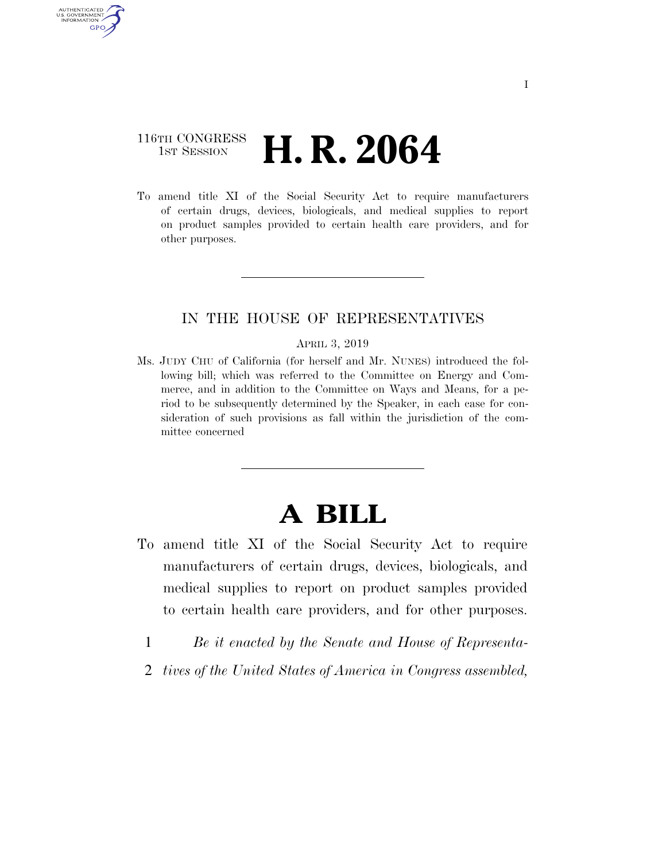## 116TH CONGRESS **1st Session H. R. 2064**

AUTHENTICATED U.S. GOVERNMENT GPO

> To amend title XI of the Social Security Act to require manufacturers of certain drugs, devices, biologicals, and medical supplies to report on product samples provided to certain health care providers, and for other purposes.

## IN THE HOUSE OF REPRESENTATIVES

## APRIL 3, 2019

Ms. JUDY CHU of California (for herself and Mr. NUNES) introduced the following bill; which was referred to the Committee on Energy and Commerce, and in addition to the Committee on Ways and Means, for a period to be subsequently determined by the Speaker, in each case for consideration of such provisions as fall within the jurisdiction of the committee concerned

## **A BILL**

- To amend title XI of the Social Security Act to require manufacturers of certain drugs, devices, biologicals, and medical supplies to report on product samples provided to certain health care providers, and for other purposes.
	- 1 *Be it enacted by the Senate and House of Representa-*
	- 2 *tives of the United States of America in Congress assembled,*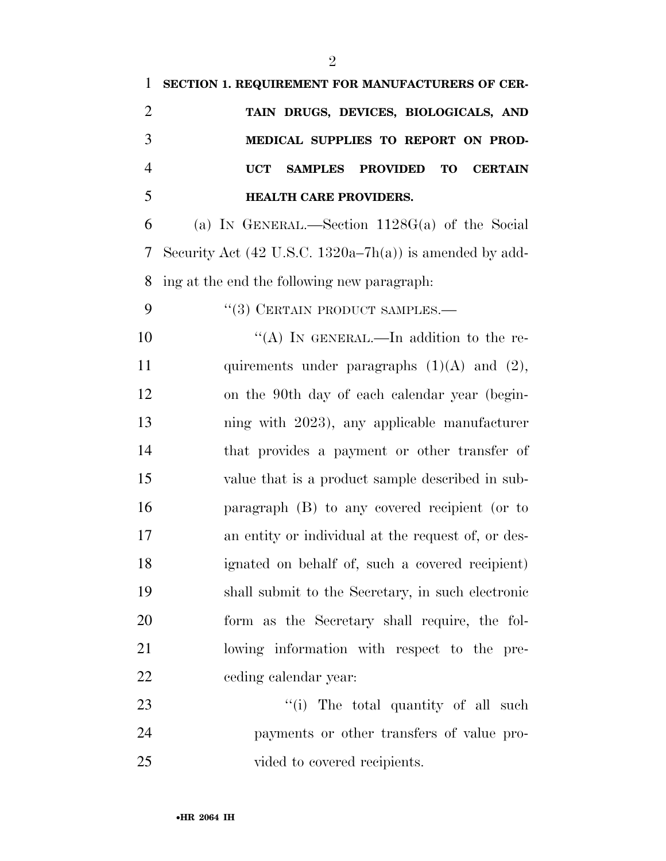| $\mathbf{1}$   | SECTION 1. REQUIREMENT FOR MANUFACTURERS OF CER-                               |
|----------------|--------------------------------------------------------------------------------|
| $\overline{2}$ | TAIN DRUGS, DEVICES, BIOLOGICALS, AND                                          |
| 3              | MEDICAL SUPPLIES TO REPORT ON PROD-                                            |
| $\overline{4}$ | <b>UCT</b><br><b>PROVIDED</b><br><b>TO</b><br><b>SAMPLES</b><br><b>CERTAIN</b> |
| 5              | <b>HEALTH CARE PROVIDERS.</b>                                                  |
| 6              | (a) IN GENERAL.—Section $1128G(a)$ of the Social                               |
| 7              | Security Act $(42 \text{ U.S.C. } 1320a-7h(a))$ is amended by add-             |
| 8              | ing at the end the following new paragraph.                                    |
| 9              | $(3)$ CERTAIN PRODUCT SAMPLES.—                                                |
| 10             | "(A) IN GENERAL.—In addition to the re-                                        |
| 11             | quirements under paragraphs $(1)(A)$ and $(2)$ ,                               |
| 12             | on the 90th day of each calendar year (begin-                                  |
| 13             | ning with 2023), any applicable manufacturer                                   |
| 14             | that provides a payment or other transfer of                                   |
| 15             | value that is a product sample described in sub-                               |
| 16             | paragraph (B) to any covered recipient (or to                                  |
| 17             | an entity or individual at the request of, or des-                             |
| 18             | ignated on behalf of, such a covered recipient)                                |
| 19             | shall submit to the Secretary, in such electronic                              |
| 20             | form as the Secretary shall require, the fol-                                  |
| 21             | lowing information with respect to the pre-                                    |
| 22             | ceding calendar year:                                                          |
| 23             | "(i) The total quantity of all such                                            |
| 24             | payments or other transfers of value pro-                                      |
| 25             | vided to covered recipients.                                                   |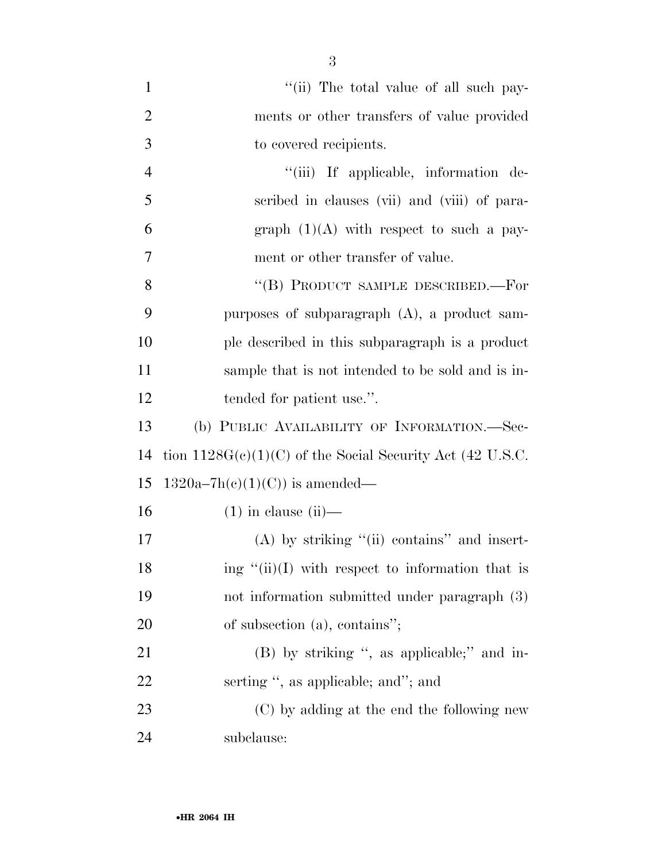| $\mathbf{1}$   | "(ii) The total value of all such pay-                      |
|----------------|-------------------------------------------------------------|
| $\overline{2}$ | ments or other transfers of value provided                  |
| 3              | to covered recipients.                                      |
| $\overline{4}$ | "(iii) If applicable, information de-                       |
| 5              | scribed in clauses (vii) and (viii) of para-                |
| 6              | graph $(1)(A)$ with respect to such a pay-                  |
| 7              | ment or other transfer of value.                            |
| 8              | "(B) PRODUCT SAMPLE DESCRIBED.—For                          |
| 9              | purposes of subparagraph $(A)$ , a product sam-             |
| 10             | ple described in this subparagraph is a product             |
| 11             | sample that is not intended to be sold and is in-           |
| 12             | tended for patient use.".                                   |
| 13             | (b) PUBLIC AVAILABILITY OF INFORMATION.—Sec-                |
| 14             | tion $1128G(c)(1)(C)$ of the Social Security Act (42 U.S.C. |
| 15             | $1320a-7h(c)(1)(C)$ is amended—                             |
| 16             | $(1)$ in clause $(ii)$ —                                    |
| 17             | $(A)$ by striking "(ii) contains" and insert-               |
| 18             | ing " $(ii)(I)$ with respect to information that is         |
| 19             | not information submitted under paragraph (3)               |
| 20             | of subsection (a), contains";                               |
| 21             | (B) by striking ", as applicable;" and in-                  |
| 22             | serting ", as applicable; and"; and                         |
| 23             | (C) by adding at the end the following new                  |
| 24             | subclause:                                                  |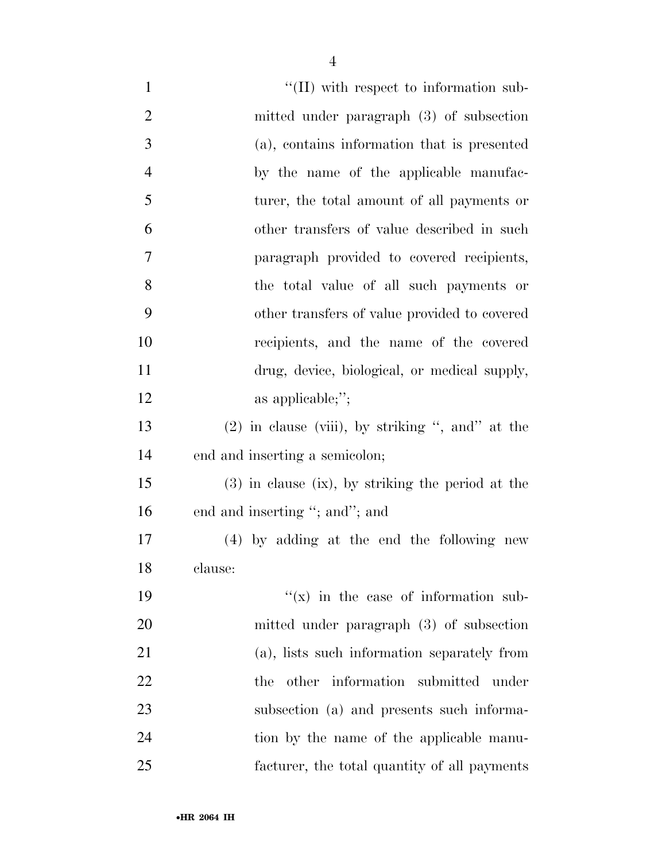| $\mathbf{1}$   | $\lq\lq$ (II) with respect to information sub-      |
|----------------|-----------------------------------------------------|
| $\overline{2}$ | mitted under paragraph (3) of subsection            |
| 3              | (a), contains information that is presented         |
| $\overline{4}$ | by the name of the applicable manufac-              |
| 5              | turer, the total amount of all payments or          |
| 6              | other transfers of value described in such          |
| 7              | paragraph provided to covered recipients,           |
| 8              | the total value of all such payments or             |
| 9              | other transfers of value provided to covered        |
| 10             | recipients, and the name of the covered             |
| 11             | drug, device, biological, or medical supply,        |
| 12             | as applicable;";                                    |
| 13             | $(2)$ in clause (viii), by striking ", and" at the  |
| 14             | end and inserting a semicolon;                      |
| 15             | $(3)$ in clause (ix), by striking the period at the |
| 16             | end and inserting "; and"; and                      |
| 17             | (4) by adding at the end the following new          |
| 18             | clause:                                             |
| 19             | $f(x)$ in the case of information sub-              |
| 20             | mitted under paragraph (3) of subsection            |
| 21             | (a), lists such information separately from         |
| 22             | other information submitted under<br>the            |
| 23             | subsection (a) and presents such informa-           |
| 24             | tion by the name of the applicable manu-            |
| 25             | facturer, the total quantity of all payments        |